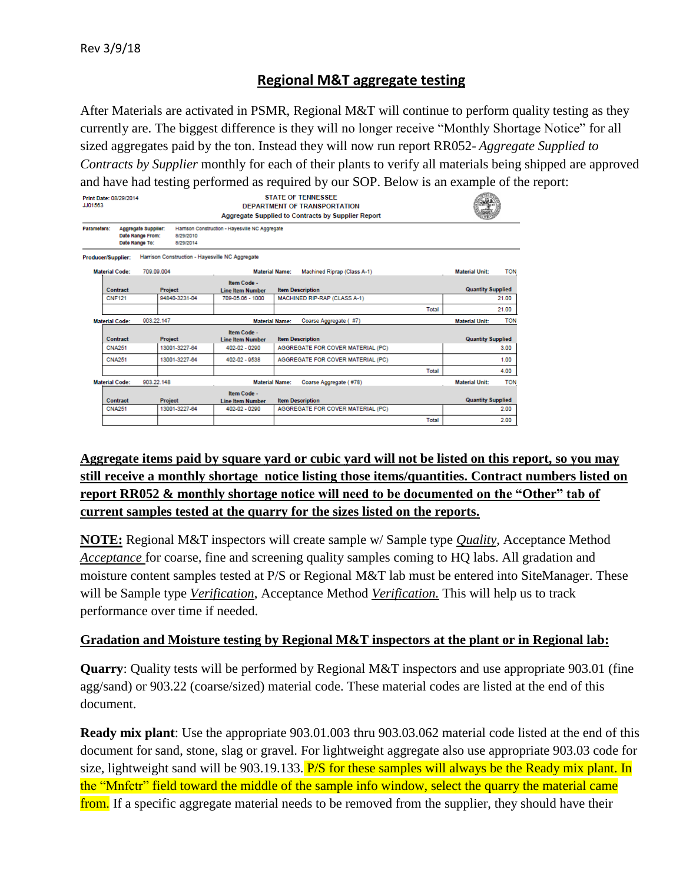# **Regional M&T aggregate testing**

After Materials are activated in PSMR, Regional M&T will continue to perform quality testing as they currently are. The biggest difference is they will no longer receive "Monthly Shortage Notice" for all sized aggregates paid by the ton. Instead they will now run report RR052- *Aggregate Supplied to Contracts by Supplier* monthly for each of their plants to verify all materials being shipped are approved and have had testing performed as required by our SOP. Below is an example of the report:

| Print Date: 08/29/2014<br>JJ01563 |                           | <b>STATE OF TENNESSEE</b><br>DEPARTMENT OF TRANSPORTATION<br>Aggregate Supplied to Contracts by Supplier Report |                                                         |                                                              |       |                          |            |
|-----------------------------------|---------------------------|-----------------------------------------------------------------------------------------------------------------|---------------------------------------------------------|--------------------------------------------------------------|-------|--------------------------|------------|
| Parameters:                       |                           | Aggregate Supplier:<br>Date Range From:<br>8/29/2010<br>Date Range To:<br>8/29/2014                             | Harrison Construction - Hayesville NC Aggregate         |                                                              |       |                          |            |
|                                   | <b>Producer/Supplier:</b> | Harrison Construction - Havesville NC Aggregate                                                                 |                                                         |                                                              |       |                          |            |
|                                   | <b>Material Code:</b>     | 709.09.004                                                                                                      | <b>Material Name:</b>                                   | Machined Riprap (Class A-1)                                  |       | <b>Material Unit:</b>    | <b>TON</b> |
|                                   | Contract                  | Project                                                                                                         | Item Code -<br><b>Line Item Number</b>                  | <b>Item Description</b>                                      |       | <b>Quantity Supplied</b> |            |
|                                   | <b>CNF121</b>             | 94840-3231-04                                                                                                   | 709-05.06 - 1000                                        | MACHINED RIP-RAP (CLASS A-1)                                 |       |                          | 21.00      |
|                                   |                           |                                                                                                                 |                                                         |                                                              | Total |                          | 21.00      |
|                                   | <b>Material Code:</b>     | 903.22.147                                                                                                      | <b>Material Name:</b>                                   | Coarse Aggregate (#7)                                        |       | <b>Material Unit:</b>    | <b>TON</b> |
|                                   | Contract<br><b>CNA251</b> | <b>Project</b><br>13001-3227-64                                                                                 | Item Code -<br><b>Line Item Number</b><br>402-02 - 0290 | <b>Item Description</b><br>AGGREGATE FOR COVER MATERIAL (PC) |       | <b>Quantity Supplied</b> | 3.00       |
|                                   | CNA251                    | 13001-3227-64                                                                                                   | 402-02 - 9538                                           | AGGREGATE FOR COVER MATERIAL (PC)                            |       |                          | 1.00       |
|                                   |                           |                                                                                                                 |                                                         |                                                              | Total |                          | 4.00       |
|                                   | <b>Material Code:</b>     | 903.22.148                                                                                                      | <b>Material Name:</b>                                   | Coarse Aggregate (#78)                                       |       | <b>Material Unit:</b>    | <b>TON</b> |
|                                   | Contract                  | <b>Project</b>                                                                                                  | Item Code -<br><b>Line Item Number</b>                  | <b>Item Description</b>                                      |       | <b>Quantity Supplied</b> |            |
|                                   | <b>CNA251</b>             | 13001-3227-64                                                                                                   | 402-02 - 0290                                           | AGGREGATE FOR COVER MATERIAL (PC)                            |       |                          | 2.00       |
|                                   |                           |                                                                                                                 |                                                         |                                                              | Total |                          | 2.00       |

## **Aggregate items paid by square yard or cubic yard will not be listed on this report, so you may still receive a monthly shortage notice listing those items/quantities. Contract numbers listed on report RR052 & monthly shortage notice will need to be documented on the "Other" tab of current samples tested at the quarry for the sizes listed on the reports.**

**NOTE:** Regional M&T inspectors will create sample w/ Sample type *Quality*, Acceptance Method *Acceptance* for coarse, fine and screening quality samples coming to HQ labs. All gradation and moisture content samples tested at P/S or Regional M&T lab must be entered into SiteManager. These will be Sample type *Verification*, Acceptance Method *Verification.* This will help us to track performance over time if needed.

## **Gradation and Moisture testing by Regional M&T inspectors at the plant or in Regional lab:**

**Quarry:** Quality tests will be performed by Regional M&T inspectors and use appropriate 903.01 (fine agg/sand) or 903.22 (coarse/sized) material code. These material codes are listed at the end of this document.

**Ready mix plant**: Use the appropriate 903.01.003 thru 903.03.062 material code listed at the end of this document for sand, stone, slag or gravel. For lightweight aggregate also use appropriate 903.03 code for size, lightweight sand will be 903.19.133. P/S for these samples will always be the Ready mix plant. In the "Mnfctr" field toward the middle of the sample info window, select the quarry the material came from. If a specific aggregate material needs to be removed from the supplier, they should have their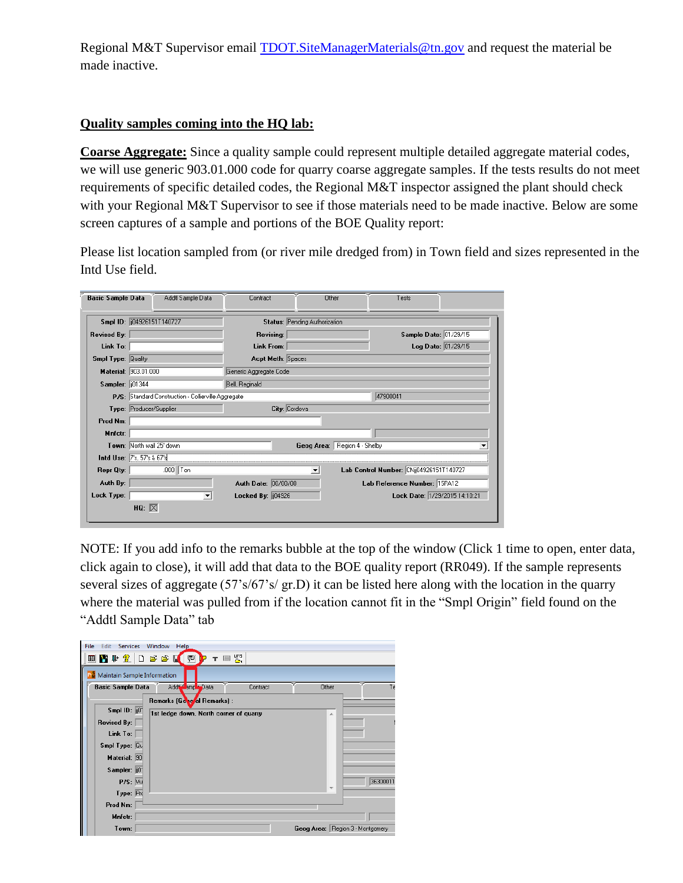Regional M&T Supervisor email **TDOT.SiteManagerMaterials@tn.gov** and request the material be made inactive.

## **Quality samples coming into the HQ lab:**

**Coarse Aggregate:** Since a quality sample could represent multiple detailed aggregate material codes, we will use generic 903.01.000 code for quarry coarse aggregate samples. If the tests results do not meet requirements of specific detailed codes, the Regional M&T inspector assigned the plant should check with your Regional M&T Supervisor to see if those materials need to be made inactive. Below are some screen captures of a sample and portions of the BOE Quality report:

Please list location sampled from (or river mile dredged from) in Town field and sizes represented in the Intd Use field.

| <b>Basic Sample Data</b>  | Addtl Sample Data                                   | Contract                 | Other                         |                              | Tests                                   |  |
|---------------------------|-----------------------------------------------------|--------------------------|-------------------------------|------------------------------|-----------------------------------------|--|
|                           | Smpl ID: [104926151T140727]                         |                          | Status: Pending Authorization |                              |                                         |  |
| <b>Revised By:</b>        |                                                     | <b>Revising:</b>         |                               |                              | Sample Date: 01/29/15                   |  |
| Link To:                  |                                                     | Link From:               |                               |                              | Log Date: 01/29/15                      |  |
| <b>Smpl Type: Quality</b> |                                                     | <b>Acpt Meth: Spaces</b> |                               |                              |                                         |  |
|                           | Material: 903.01.000                                | Generic Aggregate Code   |                               |                              |                                         |  |
| Sampler: 101344           |                                                     | Bell, Reginald           |                               |                              |                                         |  |
|                           | P/S: Standard Construction - Collierville Aggregate |                          |                               | 47900041                     |                                         |  |
|                           | Type: Producer/Supplier                             |                          | City: Cordova                 |                              |                                         |  |
| Prod Nm:                  |                                                     |                          |                               |                              |                                         |  |
| Mnfctr:                   |                                                     |                          |                               |                              |                                         |  |
|                           | Town: North wall 25' down                           |                          |                               | Geog Area: Region 4 - Shelby |                                         |  |
|                           | Intd Use: 7's, 57's & 67's                          |                          |                               |                              |                                         |  |
| Repr Qty:                 | $.000$ Ton                                          |                          | $\overline{\phantom{a}}$      |                              | Lab Control Number: CNij04926151T140727 |  |
| Auth By:                  |                                                     | Auth Date: 00/00/00      |                               |                              | Lab Reference Number: 15PA12            |  |
| Lock Type:                | $\blacktriangledown$                                | Locked By: $  04926$     |                               |                              | Lock Date: 1/29/2015 14:10:21           |  |
|                           | HQ: $\boxtimes$                                     |                          |                               |                              |                                         |  |

NOTE: If you add info to the remarks bubble at the top of the window (Click 1 time to open, enter data, click again to close), it will add that data to the BOE quality report (RR049). If the sample represents several sizes of aggregate (57's/67's/ gr.D) it can be listed here along with the location in the quarry where the material was pulled from if the location cannot fit in the "Smpl Origin" field found on the "Addtl Sample Data" tab

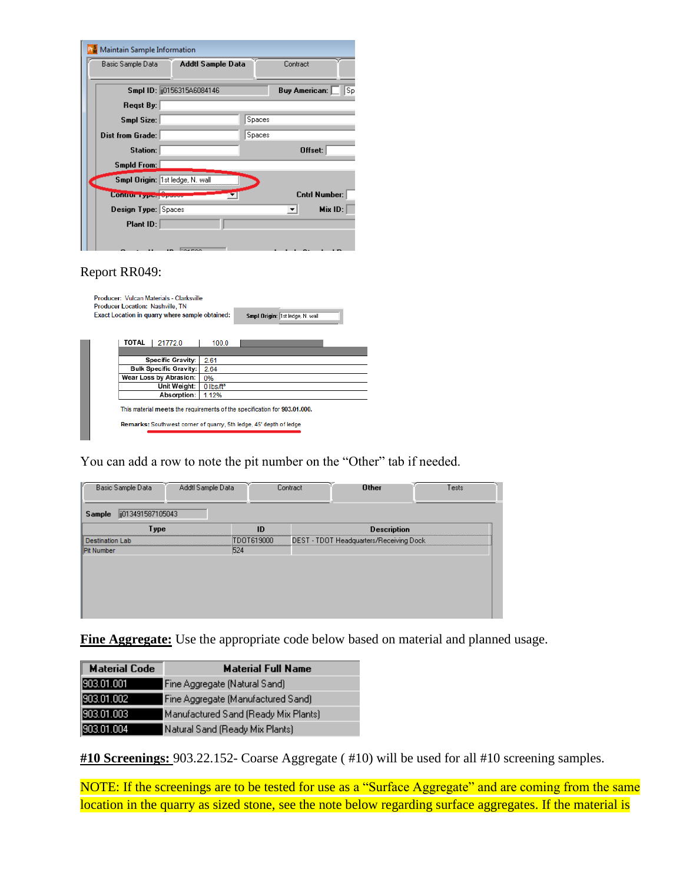| Maintain Sample Information    |                                 |        |          |                            |
|--------------------------------|---------------------------------|--------|----------|----------------------------|
| Basic Sample Data              | Addtl Sample Data               |        | Contract |                            |
|                                | Smpl ID: [j0156315A6084146]     |        |          | Sp<br><b>Buy American:</b> |
| Regst By:                      |                                 |        |          |                            |
| Smpl Size:                     |                                 | Spaces |          |                            |
| <b>Dist from Grade:</b>        |                                 | Spaces |          |                            |
| Station:                       |                                 |        |          | Offset:                    |
| <b>Smpld From:</b>             |                                 |        |          |                            |
|                                | Smpl Origin: 1st ledge, N. wall |        |          |                            |
| <b>Control Types</b> operation |                                 |        |          | <b>Cntrl Number:</b>       |
| Design Type: Spaces            |                                 |        | ▾        | Mix ID:                    |
| Plant ID:                      |                                 |        |          |                            |
|                                |                                 |        |          |                            |

#### Report RR049:

| Producer: Vulcan Materials - Clarksville<br>Producer Location: Nashville, TN<br>Exact Location in quarry where sample obtained:<br>Smpl Origin: 1st ledge, N. wall |             |                                                                           |                         |  |  |  |
|--------------------------------------------------------------------------------------------------------------------------------------------------------------------|-------------|---------------------------------------------------------------------------|-------------------------|--|--|--|
|                                                                                                                                                                    | TOTAL       | 21772.0                                                                   | 100.0                   |  |  |  |
|                                                                                                                                                                    |             |                                                                           |                         |  |  |  |
|                                                                                                                                                                    |             | <b>Specific Gravity:</b>                                                  | 2.61                    |  |  |  |
|                                                                                                                                                                    |             | <b>Bulk Specific Gravity:</b>                                             | 2.64                    |  |  |  |
|                                                                                                                                                                    |             | Wear Loss by Abrasion:                                                    | 0%                      |  |  |  |
|                                                                                                                                                                    |             | Unit Weight:                                                              | $0$ lbs/ft <sup>3</sup> |  |  |  |
|                                                                                                                                                                    | Absorption: |                                                                           | 1.12%                   |  |  |  |
|                                                                                                                                                                    |             | This material meets the requirements of the specification for 903.01.000. |                         |  |  |  |
|                                                                                                                                                                    |             | Remarks: Southwest corner of quarry, 5th ledge, 45' depth of ledge        |                         |  |  |  |

You can add a row to note the pit number on the "Other" tab if needed.

| Basic Sample Data<br>Addtl Sample Data<br>ij013491587105043<br>Sample |            | Contract | <b>Other</b>                            | Tests       |
|-----------------------------------------------------------------------|------------|----------|-----------------------------------------|-------------|
| Type                                                                  | ID         |          | <b>Description</b>                      |             |
| <b>Destination Lab</b>                                                | TDOT619000 |          | DEST - TDOT Headquarters/Receiving Dock | *********** |
| Pit Number                                                            | 524        |          |                                         |             |
|                                                                       |            |          |                                         |             |
|                                                                       |            |          |                                         |             |
|                                                                       |            |          |                                         |             |
|                                                                       |            |          |                                         |             |
|                                                                       |            |          |                                         |             |

**Fine Aggregate:** Use the appropriate code below based on material and planned usage.

| <b>Material Code</b> | <b>Material Full Name</b>            |
|----------------------|--------------------------------------|
| 1903.01.001          | Fine Aggregate (Natural Sand)        |
| 903.01.002           | Fine Aggregate (Manufactured Sand)   |
| 903.01.003           | Manufactured Sand (Ready Mix Plants) |
| 903.01.004           | Natural Sand (Ready Mix Plants)      |

**#10 Screenings:** 903.22.152- Coarse Aggregate ( #10) will be used for all #10 screening samples.

NOTE: If the screenings are to be tested for use as a "Surface Aggregate" and are coming from the same location in the quarry as sized stone, see the note below regarding surface aggregates. If the material is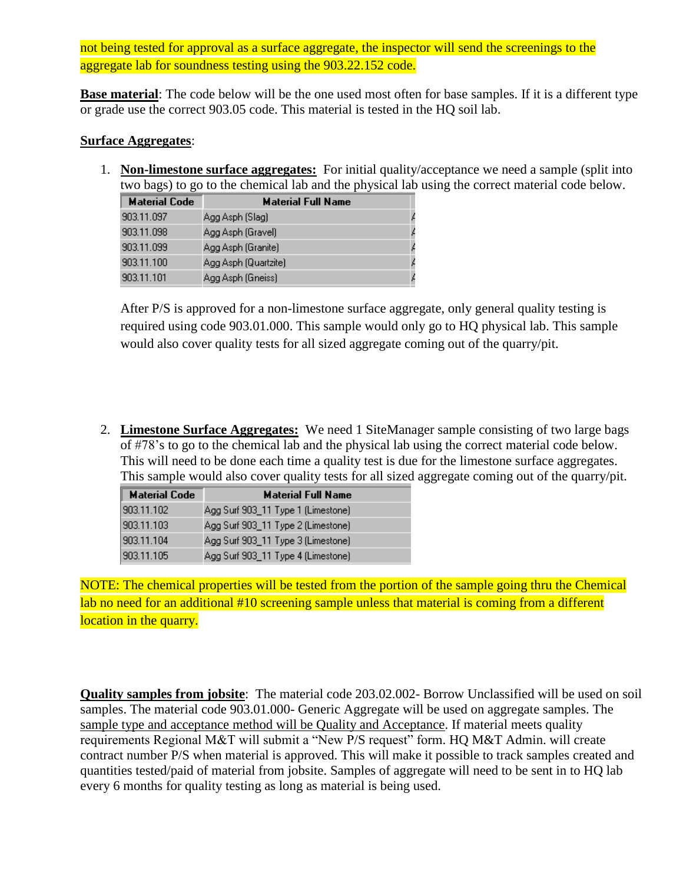not being tested for approval as a surface aggregate, the inspector will send the screenings to the aggregate lab for soundness testing using the 903.22.152 code.

**Base material**: The code below will be the one used most often for base samples. If it is a different type or grade use the correct 903.05 code. This material is tested in the HQ soil lab.

#### **Surface Aggregates**:

1. **Non-limestone surface aggregates:** For initial quality/acceptance we need a sample (split into two bags) to go to the chemical lab and the physical lab using the correct material code below.

| <b>Material Code</b> | <b>Material Full Name</b> |  |
|----------------------|---------------------------|--|
| 903.11.097           | Agg Asph (Slag)           |  |
| 903.11.098           | Agg Asph (Gravel)         |  |
| 903.11.099           | Agg Asph (Granite)        |  |
| 903.11.100           | Agg Asph (Quartzite)      |  |
| 903.11.101           | Agg Asph (Gneiss)         |  |

After P/S is approved for a non-limestone surface aggregate, only general quality testing is required using code 903.01.000. This sample would only go to HQ physical lab. This sample would also cover quality tests for all sized aggregate coming out of the quarry/pit.

2. **Limestone Surface Aggregates:** We need 1 SiteManager sample consisting of two large bags of #78's to go to the chemical lab and the physical lab using the correct material code below. This will need to be done each time a quality test is due for the limestone surface aggregates. This sample would also cover quality tests for all sized aggregate coming out of the quarry/pit.

| <b>Material Code</b> | <b>Material Full Name</b>          |
|----------------------|------------------------------------|
| 903.11.102           | Agg Surf 903_11 Type 1 (Limestone) |
| 903.11.103           | Agg Surf 903_11 Type 2 (Limestone) |
| 903.11.104           | Agg Surf 903_11 Type 3 (Limestone) |
| 903.11.105           | Agg Surf 903_11 Type 4 (Limestone) |

NOTE: The chemical properties will be tested from the portion of the sample going thru the Chemical lab no need for an additional #10 screening sample unless that material is coming from a different location in the quarry.

**Quality samples from jobsite**: The material code 203.02.002- Borrow Unclassified will be used on soil samples. The material code 903.01.000- Generic Aggregate will be used on aggregate samples. The sample type and acceptance method will be Quality and Acceptance. If material meets quality requirements Regional M&T will submit a "New P/S request" form. HQ M&T Admin. will create contract number P/S when material is approved. This will make it possible to track samples created and quantities tested/paid of material from jobsite. Samples of aggregate will need to be sent in to HQ lab every 6 months for quality testing as long as material is being used.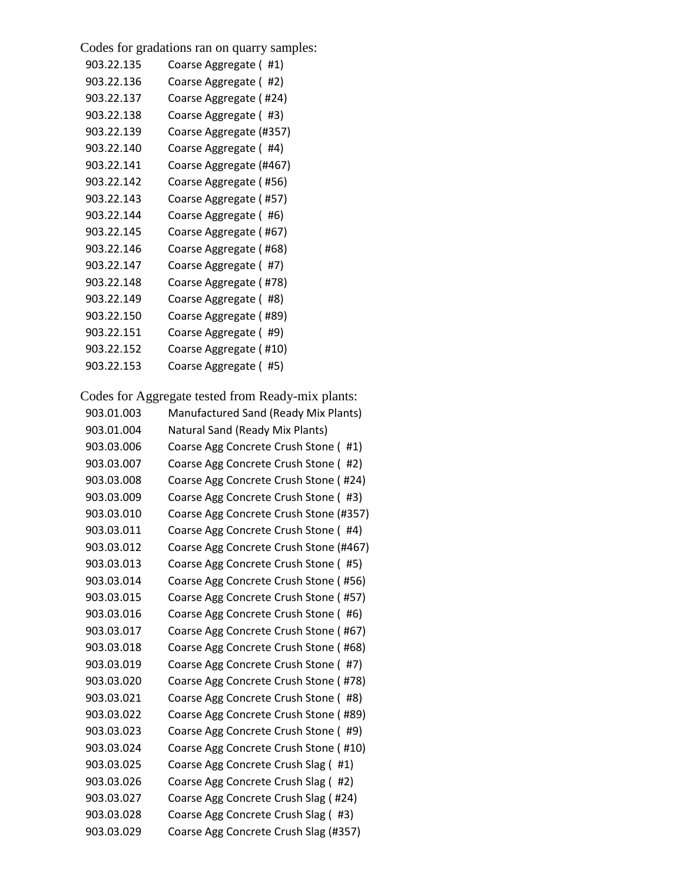Codes for gradations ran on quarry samples:

| 903.22.135 | Coarse Aggregate (#1)   |
|------------|-------------------------|
| 903.22.136 | Coarse Aggregate (#2)   |
| 903.22.137 | Coarse Aggregate (#24)  |
| 903.22.138 | Coarse Aggregate (#3)   |
| 903.22.139 | Coarse Aggregate (#357) |
| 903.22.140 | Coarse Aggregate (#4)   |
| 903.22.141 | Coarse Aggregate (#467) |
| 903.22.142 | Coarse Aggregate (#56)  |
| 903.22.143 | Coarse Aggregate (#57)  |
| 903.22.144 | Coarse Aggregate (#6)   |
| 903.22.145 | Coarse Aggregate (#67)  |
| 903.22.146 | Coarse Aggregate (#68)  |
| 903.22.147 | Coarse Aggregate (#7)   |
| 903.22.148 | Coarse Aggregate (#78)  |
| 903.22.149 | Coarse Aggregate (#8)   |
| 903.22.150 | Coarse Aggregate (#89)  |
| 903.22.151 | Coarse Aggregate (#9)   |
| 903.22.152 | Coarse Aggregate (#10)  |
| 903.22.153 | Coarse Aggregate (#5)   |

Codes for Aggregate tested from Ready-mix plants:

| 903.01.003 | Manufactured Sand (Ready Mix Plants)   |
|------------|----------------------------------------|
| 903.01.004 | Natural Sand (Ready Mix Plants)        |
| 903.03.006 | Coarse Agg Concrete Crush Stone (#1)   |
| 903.03.007 | Coarse Agg Concrete Crush Stone (#2)   |
| 903.03.008 | Coarse Agg Concrete Crush Stone (#24)  |
| 903.03.009 | Coarse Agg Concrete Crush Stone (#3)   |
| 903.03.010 | Coarse Agg Concrete Crush Stone (#357) |
| 903.03.011 | Coarse Agg Concrete Crush Stone (#4)   |
| 903.03.012 | Coarse Agg Concrete Crush Stone (#467) |
| 903.03.013 | Coarse Agg Concrete Crush Stone (#5)   |
| 903.03.014 | Coarse Agg Concrete Crush Stone (#56)  |
| 903.03.015 | Coarse Agg Concrete Crush Stone (#57)  |
| 903.03.016 | Coarse Agg Concrete Crush Stone (#6)   |
| 903.03.017 | Coarse Agg Concrete Crush Stone (#67)  |
| 903.03.018 | Coarse Agg Concrete Crush Stone (#68)  |
| 903.03.019 | Coarse Agg Concrete Crush Stone (#7)   |
| 903.03.020 | Coarse Agg Concrete Crush Stone (#78)  |
| 903.03.021 | Coarse Agg Concrete Crush Stone (#8)   |
| 903.03.022 | Coarse Agg Concrete Crush Stone (#89)  |
| 903.03.023 | Coarse Agg Concrete Crush Stone (#9)   |
| 903.03.024 | Coarse Agg Concrete Crush Stone (#10)  |
| 903.03.025 | Coarse Agg Concrete Crush Slag (#1)    |
| 903.03.026 | Coarse Agg Concrete Crush Slag (#2)    |
| 903.03.027 | Coarse Agg Concrete Crush Slag (#24)   |
| 903.03.028 | Coarse Agg Concrete Crush Slag (#3)    |
| 903.03.029 | Coarse Agg Concrete Crush Slag (#357)  |
|            |                                        |